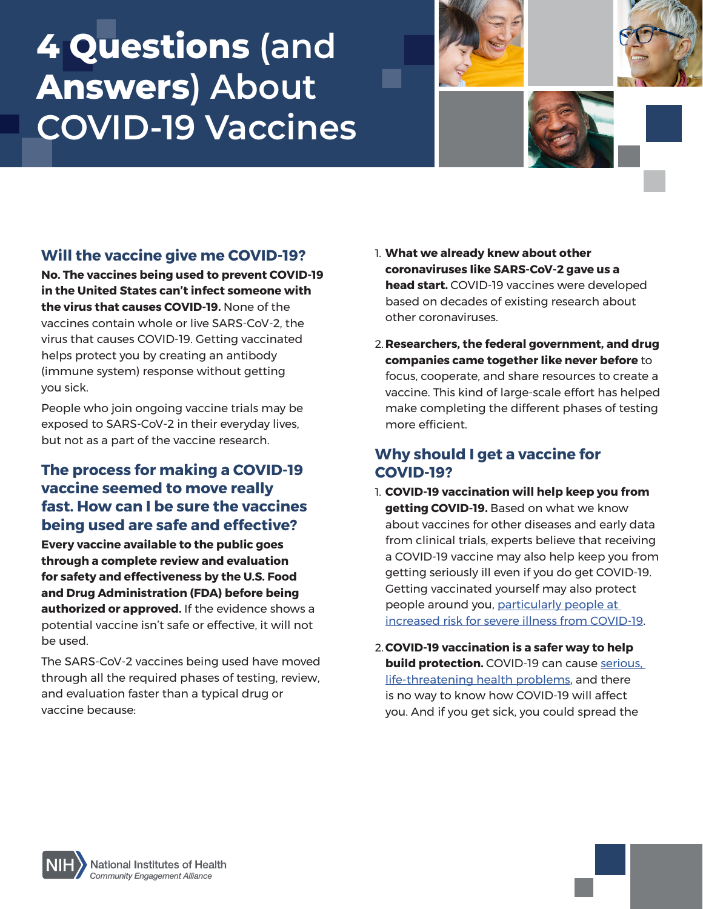# **4 Questions (and Answers) About COVID-19 Vaccines**



**in the United States can't infect someone with the virus that causes COVID-19.** None of the vaccines contain whole or live SARS-CoV-2, the virus that causes COVID-19. Getting vaccinated helps protect you by creating an antibody (immune system) response without getting you sick.

People who join ongoing vaccine trials may be exposed to SARS-CoV-2 in their everyday lives, but not as a part of the vaccine research.

### **The process for making a COVID-19 vaccine seemed to move really fast. How can I be sure the vaccines being used are safe and effective?**

**Every vaccine available to the public goes through a complete review and evaluation for safety and effectiveness by the U.S. Food and Drug Administration (FDA) before being authorized or approved.** If the evidence shows a potential vaccine isn't safe or effective, it will not be used.

The SARS-CoV-2 vaccines being used have moved through all the required phases of testing, review, and evaluation faster than a typical drug or vaccine because:

- **coronaviruses like SARS-CoV-2 gave us a head start.** COVID-19 vaccines were developed based on decades of existing research about other coronaviruses.
- 2. **Researchers, the federal government, and drug companies came together like never before** to focus, cooperate, and share resources to create a vaccine. This kind of large-scale effort has helped make completing the different phases of testing more efficient.

#### **Why should I get a vaccine for COVID-19?**

- 1. **COVID-19 vaccination will help keep you from getting COVID-19.** Based on what we know about vaccines for other diseases and early data from clinical trials, experts believe that receiving a COVID-19 vaccine may also help keep you from getting seriously ill even if you do get COVID-19. Getting vaccinated yourself may also protect people around you, particularly people at [increased risk for severe illness from COVID-19](https://www.cdc.gov/coronavirus/2019-ncov/need-extra-precautions/index.html).
- 2.**COVID-19 vaccination is a safer way to help build protection.** COVID-19 can cause serious, [life-threatening health problems,](https://www.cdc.gov/coronavirus/2019-ncov/symptoms-testing/symptoms.html) and there is no way to know how COVID-19 will affect you. And if you get sick, you could spread the